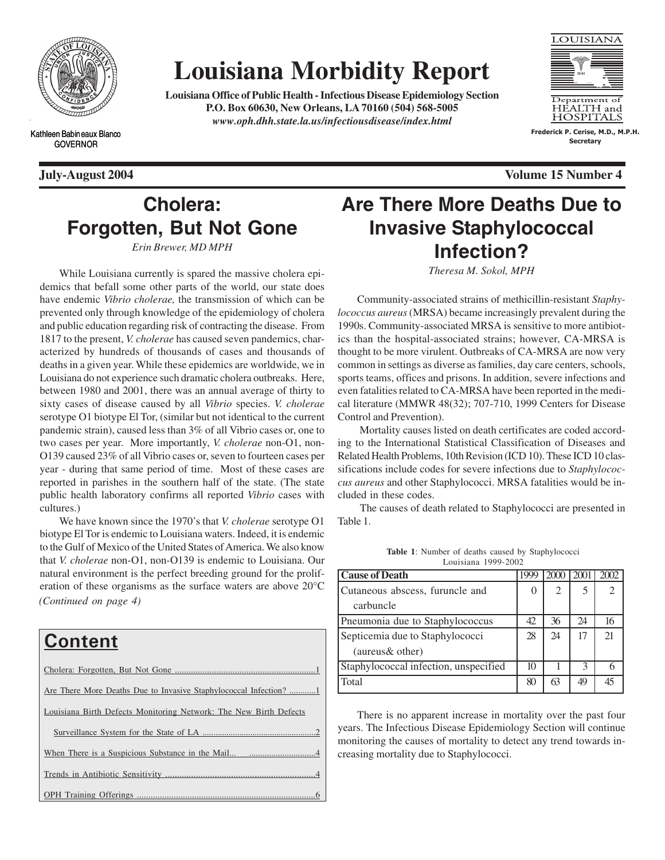

# **Louisiana Morbidity Report**

**Louisiana Office of Public Health - Infectious Disease Epidemiology Section P.O. Box 60630, New Orleans, LA 70160 (504) 568-5005** *www.oph.dhh.state.la.us/infectiousdisease/index.html*



**Frederick P. Cerise, M.D., M.P.H. Secretary**

Kathleen Babineaux Blanco GOVERNOR

**July-August 2004 Volume 15 Number 4**

## **Cholera: Forgotten, But Not Gone**

*Erin Brewer, MD MPH*

While Louisiana currently is spared the massive cholera epidemics that befall some other parts of the world, our state does have endemic *Vibrio cholerae,* the transmission of which can be prevented only through knowledge of the epidemiology of cholera and public education regarding risk of contracting the disease. From 1817 to the present, *V. cholerae* has caused seven pandemics, characterized by hundreds of thousands of cases and thousands of deaths in a given year. While these epidemics are worldwide, we in Louisiana do not experience such dramatic cholera outbreaks. Here, between 1980 and 2001, there was an annual average of thirty to sixty cases of disease caused by all *Vibrio* species. *V. cholerae* serotype O1 biotype El Tor, (similar but not identical to the current pandemic strain), caused less than 3% of all Vibrio cases or, one to two cases per year. More importantly, *V. cholerae* non-O1, non-O139 caused 23% of all Vibrio cases or, seven to fourteen cases per year - during that same period of time. Most of these cases are reported in parishes in the southern half of the state. (The state public health laboratory confirms all reported *Vibrio* cases with cultures.)

*(Continued on page 4)* We have known since the 1970's that *V. cholerae* serotype O1 biotype El Tor is endemic to Louisiana waters. Indeed, it is endemic to the Gulf of Mexico of the United States of America. We also know that *V. cholerae* non-O1, non-O139 is endemic to Louisiana. Our natural environment is the perfect breeding ground for the proliferation of these organisms as the surface waters are above 20°C

## **Content** Cholera: Forgotten, But Not Gone ......... Are There More Deaths Due to Invasive Staphylococcal Infection? .... Louisiana Birth Defects Monitoring Network: The New Birth Defects Surveillance System for the State of LA. When There is a Suspicious Substance in the Mail... Trends in Antibiotic Sensitivity. OPH Training Offerings

## **Are There More Deaths Due to Invasive Staphylococcal Infection?**

*Theresa M. Sokol, MPH*

Community-associated strains of methicillin-resistant *Staphylococcus aureus* (MRSA) became increasingly prevalent during the 1990s. Community-associated MRSA is sensitive to more antibiotics than the hospital-associated strains; however, CA-MRSA is thought to be more virulent. Outbreaks of CA-MRSA are now very common in settings as diverse as families, day care centers, schools, sports teams, offices and prisons. In addition, severe infections and even fatalities related to CA-MRSA have been reported in the medical literature (MMWR 48(32); 707-710, 1999 Centers for Disease Control and Prevention).

 Mortality causes listed on death certificates are coded according to the International Statistical Classification of Diseases and Related Health Problems, 10th Revision (ICD 10). These ICD 10 classifications include codes for severe infections due to *Staphylococcus aureus* and other Staphylococci. MRSA fatalities would be included in these codes.

 The causes of death related to Staphylococci are presented in Table 1.

| <b>Cause of Death</b>                 |    | 200 | 2001 | 2002          |
|---------------------------------------|----|-----|------|---------------|
| Cutaneous abscess, furuncle and       |    | 2   | 5    | $\mathcal{L}$ |
| carbuncle                             |    |     |      |               |
| Pneumonia due to Staphylococcus       | 42 | 36  | 24   | 16            |
| Septicemia due to Staphylococci       | 28 | 24  | 17   | 21            |
| (aureus& other)                       |    |     |      |               |
| Staphylococcal infection, unspecified | 10 |     | 3    |               |
| Total                                 | 80 | 63  | 49   |               |

**Table 1**: Number of deaths caused by Staphylococci Louisiana 1999-2002

There is no apparent increase in mortality over the past four years. The Infectious Disease Epidemiology Section will continue monitoring the causes of mortality to detect any trend towards increasing mortality due to Staphylococci.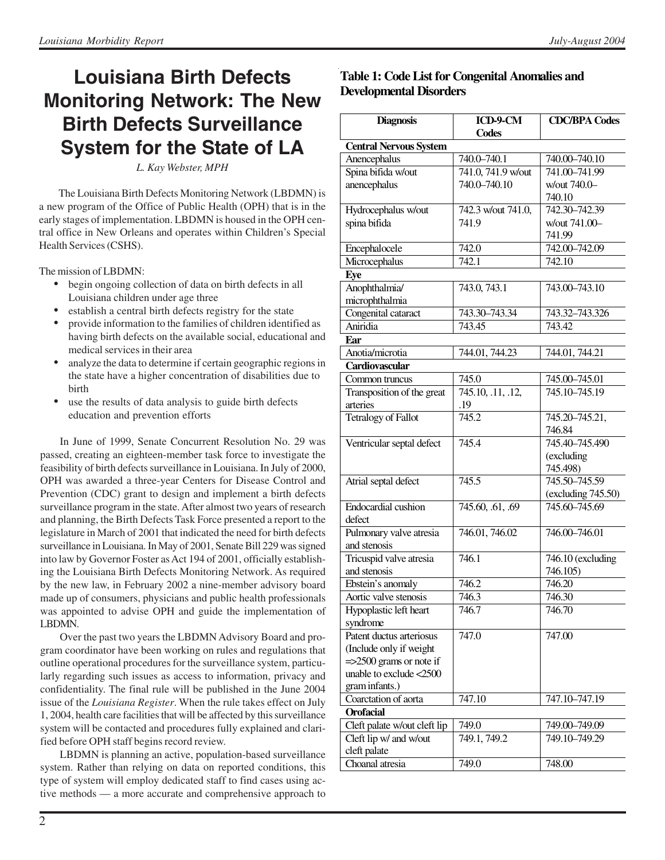## **Louisiana Birth Defects Monitoring Network: The New Birth Defects Surveillance System for the State of LA**

*L. Kay Webster, MPH*

The Louisiana Birth Defects Monitoring Network (LBDMN) is a new program of the Office of Public Health (OPH) that is in the early stages of implementation. LBDMN is housed in the OPH central office in New Orleans and operates within Children's Special Health Services (CSHS).

The mission of LBDMN:

- begin ongoing collection of data on birth defects in all Louisiana children under age three
- establish a central birth defects registry for the state
- provide information to the families of children identified as having birth defects on the available social, educational and medical services in their area
- analyze the data to determine if certain geographic regions in the state have a higher concentration of disabilities due to birth
- use the results of data analysis to guide birth defects education and prevention efforts

In June of 1999, Senate Concurrent Resolution No. 29 was passed, creating an eighteen-member task force to investigate the feasibility of birth defects surveillance in Louisiana. In July of 2000, OPH was awarded a three-year Centers for Disease Control and Prevention (CDC) grant to design and implement a birth defects surveillance program in the state. After almost two years of research and planning, the Birth Defects Task Force presented a report to the legislature in March of 2001 that indicated the need for birth defects surveillance in Louisiana. In May of 2001, Senate Bill 229 was signed into law by Governor Foster as Act 194 of 2001, officially establishing the Louisiana Birth Defects Monitoring Network. As required by the new law, in February 2002 a nine-member advisory board made up of consumers, physicians and public health professionals was appointed to advise OPH and guide the implementation of LBDMN.

Over the past two years the LBDMN Advisory Board and program coordinator have been working on rules and regulations that outline operational procedures for the surveillance system, particularly regarding such issues as access to information, privacy and confidentiality. The final rule will be published in the June 2004 issue of the *Louisiana Register*. When the rule takes effect on July 1, 2004, health care facilities that will be affected by this surveillance system will be contacted and procedures fully explained and clarified before OPH staff begins record review.

LBDMN is planning an active, population-based surveillance system. Rather than relying on data on reported conditions, this type of system will employ dedicated staff to find cases using active methods — a more accurate and comprehensive approach to

### **Table 1: Code List for Congenital Anomalies and Developmental Disorders**

| <b>Diagnosis</b>                    | ICD-9-CM           | <b>CDC/BPA Codes</b>             |  |  |
|-------------------------------------|--------------------|----------------------------------|--|--|
|                                     | Codes              |                                  |  |  |
| <b>Central Nervous System</b>       |                    |                                  |  |  |
| Anencephalus                        | 740.0-740.1        | 740.00-740.10                    |  |  |
| Spina bifida w/out                  | 741.0, 741.9 w/out | 741.00-741.99                    |  |  |
| anencephalus                        | 740.0-740.10       | w/out 740.0-                     |  |  |
|                                     |                    | 740.10                           |  |  |
| Hydrocephalus w/out                 | 742.3 w/out 741.0, | 742.30-742.39                    |  |  |
| spina bifida                        | 741.9              | w/out 741.00-                    |  |  |
|                                     |                    | 741.99                           |  |  |
| Encephalocele                       | 742.0              | 742.00-742.09                    |  |  |
| Microcephalus                       | 742.1              | 742.10                           |  |  |
| Eye                                 |                    |                                  |  |  |
| Anophthalmia/                       | 743.0, 743.1       | 743.00–743.10                    |  |  |
| microphthalmia                      |                    |                                  |  |  |
| Congenital cataract                 | 743.30-743.34      | 743.32-743.326                   |  |  |
| Aniridia                            | 743.45             | 743.42                           |  |  |
| Ear                                 |                    |                                  |  |  |
| Anotia/microtia                     | 744.01, 744.23     | 744.01, 744.21                   |  |  |
| Cardiovascular                      |                    |                                  |  |  |
| Common truncus                      | 745.0              | 745.00–745.01                    |  |  |
| Transposition of the great          | 745.10, .11, .12,  | 745.10-745.19                    |  |  |
| arteries                            | .19                |                                  |  |  |
| Tetralogy of Fallot                 | 745.2              | 745.20-745.21,                   |  |  |
|                                     |                    | 746.84                           |  |  |
| Ventricular septal defect           | 745.4              | 745.40-745.490                   |  |  |
|                                     |                    | (excluding                       |  |  |
|                                     |                    | 745.498)                         |  |  |
| Atrial septal defect                | 745.5              | 745.50-745.59                    |  |  |
|                                     |                    | (excluding 745.50)               |  |  |
| Endocardial cushion                 | 745.60, .61, .69   | 745.60-745.69                    |  |  |
| defect                              |                    |                                  |  |  |
| Pulmonary valve atresia             | 746.01, 746.02     | 746.00-746.01                    |  |  |
| and stenosis                        |                    |                                  |  |  |
| Tricuspid valve atresia             | 746.1              | $\overline{746}$ . 10 (excluding |  |  |
| and stenosis                        |                    | 746.105)                         |  |  |
| Ebstein's anomaly                   | 746.2              | 746.20                           |  |  |
| Aortic valve stenosis               | 746.3              | 746.30                           |  |  |
| Hypoplastic left heart              | 746.7              | 746.70                           |  |  |
| syndrome                            |                    |                                  |  |  |
| Patent ductus arteriosus            | 747.0              | 747.00                           |  |  |
| (Include only if weight             |                    |                                  |  |  |
| $\approx$ = > 2500 grams or note if |                    |                                  |  |  |
| unable to exclude <2500             |                    |                                  |  |  |
| gram infants.)                      |                    |                                  |  |  |
| Coarctation of aorta                | 747.10             | 747.10–747.19                    |  |  |
| <b>Orofacial</b>                    |                    |                                  |  |  |
| Cleft palate w/out cleft lip        | 749.0              | 749.00–749.09                    |  |  |
| Cleft lip w/ and w/out              | 749.1, 749.2       | 749.10-749.29                    |  |  |
| cleft palate                        |                    |                                  |  |  |
| Choanal atresia                     | 749.0              | 748.00                           |  |  |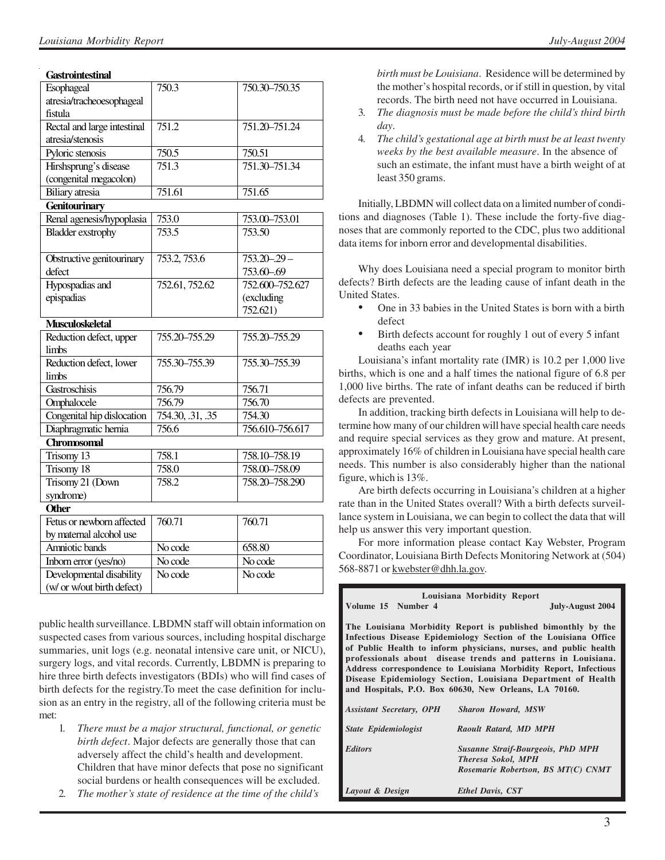#### **Gastrointestinal**

| Esophageal                  | 750.3              | 750.30-750.35   |
|-----------------------------|--------------------|-----------------|
| atresia/tracheoesophageal   |                    |                 |
| fistula                     |                    |                 |
| Rectal and large intestinal | 751.2              | 751.20-751.24   |
| atresia/stenosis            |                    |                 |
| Pyloric stenosis            | 750.5              | 750.51          |
| Hirshsprung's disease       | $\overline{751.3}$ | 751.30-751.34   |
| (congenital megacolon)      |                    |                 |
| <b>Biliary</b> atresia      | 751.61             | 751.65          |
| <b>Genitourinary</b>        |                    |                 |
| Renal agenesis/hypoplasia   | 753.0              | 753.00-753.01   |
| <b>Bladder</b> exstrophy    | 753.5              | 753.50          |
|                             |                    |                 |
| Obstructive genitourinary   | 753.2, 753.6       | $753.20 - 29 -$ |
| defect                      |                    | 753.60-.69      |
| Hypospadias and             | 752.61, 752.62     | 752.600-752.627 |
| epispadias                  |                    | (excluding      |
|                             |                    | 752.621)        |
| <b>Musculoskeletal</b>      |                    |                 |
| Reduction defect, upper     | 755.20-755.29      | 755.20-755.29   |
| limbs                       |                    |                 |
| Reduction defect, lower     | 755.30-755.39      | 755.30-755.39   |
| limbs                       |                    |                 |
| Gastroschisis               | 756.79             | 756.71          |
| Omphalocele                 | 756.79             | 756.70          |
| Congenital hip dislocation  | 754.30, .31, .35   | 754.30          |
| Diaphragmatic hernia        | 756.6              | 756.610-756.617 |
| Chromosomal                 |                    |                 |
| Trisomy 13                  | 758.1              | 758.10-758.19   |
| Trisomy 18                  | 758.0              | 758.00-758.09   |
| Trisomy 21 (Down            | 758.2              | 758.20-758.290  |
| syndrome)                   |                    |                 |
| <b>Other</b>                |                    |                 |
| Fetus or newborn affected   | 760.71             | 760.71          |
| by maternal alcohol use     |                    |                 |
| Amniotic bands              | No code            | 658.80          |
| Inborn error (yes/no)       | No code            | No code         |
| Developmental disability    | No code            | No code         |
| (w/ or w/out birth defect)  |                    |                 |

public health surveillance. LBDMN staff will obtain information on suspected cases from various sources, including hospital discharge summaries, unit logs (e.g. neonatal intensive care unit, or NICU), surgery logs, and vital records. Currently, LBDMN is preparing to hire three birth defects investigators (BDIs) who will find cases of birth defects for the registry.To meet the case definition for inclusion as an entry in the registry, all of the following criteria must be met:

- 1*. There must be a major structural, functional, or genetic birth defect*. Major defects are generally those that can adversely affect the child's health and development. Children that have minor defects that pose no significant social burdens or health consequences will be excluded.
- 2. *The mother's state of residence at the time of the child's*

*birth must be Louisiana*. Residence will be determined by the mother's hospital records, or if still in question, by vital records. The birth need not have occurred in Louisiana.

- 3. *The diagnosis must be made before the child's third birth day*.
- 4. *The child's gestational age at birth must be at least twenty weeks by the best available measure*. In the absence of such an estimate, the infant must have a birth weight of at least 350 grams.

Initially, LBDMN will collect data on a limited number of conditions and diagnoses (Table 1). These include the forty-five diagnoses that are commonly reported to the CDC, plus two additional data items for inborn error and developmental disabilities.

Why does Louisiana need a special program to monitor birth defects? Birth defects are the leading cause of infant death in the United States.

- One in 33 babies in the United States is born with a birth defect
- Birth defects account for roughly 1 out of every 5 infant deaths each year

Louisiana's infant mortality rate (IMR) is 10.2 per 1,000 live births, which is one and a half times the national figure of 6.8 per 1,000 live births. The rate of infant deaths can be reduced if birth defects are prevented.

In addition, tracking birth defects in Louisiana will help to determine how many of our children will have special health care needs and require special services as they grow and mature. At present, approximately 16% of children in Louisiana have special health care needs. This number is also considerably higher than the national figure, which is 13%.

Are birth defects occurring in Louisiana's children at a higher rate than in the United States overall? With a birth defects surveillance system in Louisiana, we can begin to collect the data that will help us answer this very important question.

For more information please contact Kay Webster, Program Coordinator, Louisiana Birth Defects Monitoring Network at (504) 568-8871 or kwebster@dhh.la.gov.

| Louisiana Morbidity Report                                                                                                                                                                                                                                                                                                                                                                                                                                        |                                          |  |  |  |  |  |
|-------------------------------------------------------------------------------------------------------------------------------------------------------------------------------------------------------------------------------------------------------------------------------------------------------------------------------------------------------------------------------------------------------------------------------------------------------------------|------------------------------------------|--|--|--|--|--|
| Volume 15 Number 4                                                                                                                                                                                                                                                                                                                                                                                                                                                | <b>July-August 2004</b>                  |  |  |  |  |  |
| The Louisiana Morbidity Report is published bimonthly by the<br>Infectious Disease Epidemiology Section of the Louisiana Office<br>of Public Health to inform physicians, nurses, and public health<br>professionals about disease trends and patterns in Louisiana.<br>Address correspondence to Louisiana Morbidity Report, Infectious<br>Disease Epidemiology Section, Louisiana Department of Health<br>and Hospitals, P.O. Box 60630, New Orleans, LA 70160. |                                          |  |  |  |  |  |
|                                                                                                                                                                                                                                                                                                                                                                                                                                                                   |                                          |  |  |  |  |  |
| Assistant Secretary, OPH Sharon Howard, MSW                                                                                                                                                                                                                                                                                                                                                                                                                       |                                          |  |  |  |  |  |
| <b>State Epidemiologist</b>                                                                                                                                                                                                                                                                                                                                                                                                                                       | Raoult Ratard, MD MPH                    |  |  |  |  |  |
| <b>Editors</b>                                                                                                                                                                                                                                                                                                                                                                                                                                                    | <b>Susanne Straif-Bourgeois, PhD MPH</b> |  |  |  |  |  |
|                                                                                                                                                                                                                                                                                                                                                                                                                                                                   | <b>Theresa Sokol, MPH</b>                |  |  |  |  |  |
|                                                                                                                                                                                                                                                                                                                                                                                                                                                                   | Rosemarie Robertson, BS MT(C) CNMT       |  |  |  |  |  |
| Layout & Design                                                                                                                                                                                                                                                                                                                                                                                                                                                   | <b>Ethel Davis, CST</b>                  |  |  |  |  |  |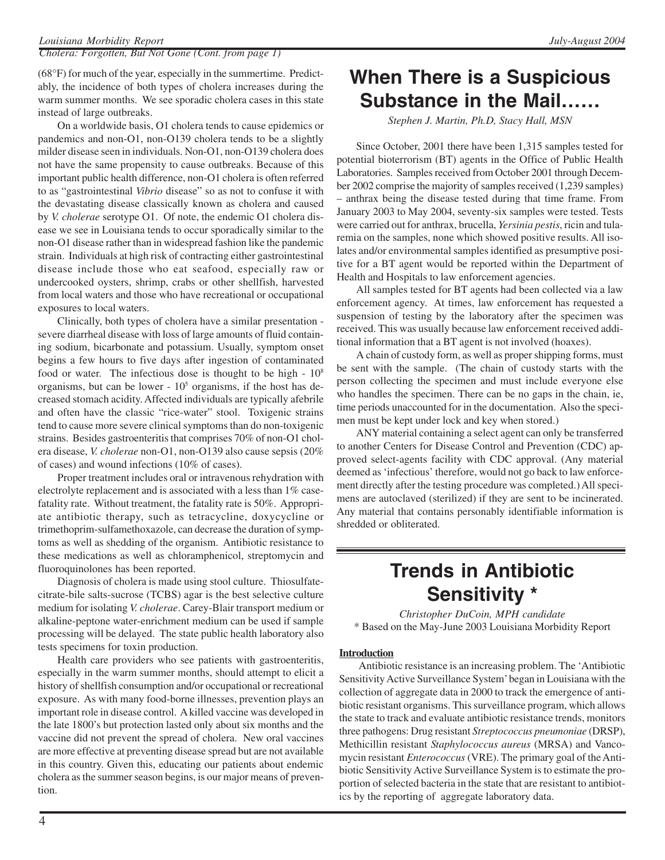*Cholera: Forgotten, But Not Gone (Cont. from page 1)*

(68°F) for much of the year, especially in the summertime. Predictably, the incidence of both types of cholera increases during the warm summer months. We see sporadic cholera cases in this state instead of large outbreaks.

On a worldwide basis, O1 cholera tends to cause epidemics or pandemics and non-O1, non-O139 cholera tends to be a slightly milder disease seen in individuals. Non-O1, non-O139 cholera does not have the same propensity to cause outbreaks. Because of this important public health difference, non-O1 cholera is often referred to as "gastrointestinal *Vibrio* disease" so as not to confuse it with the devastating disease classically known as cholera and caused by *V. cholerae* serotype O1. Of note, the endemic O1 cholera disease we see in Louisiana tends to occur sporadically similar to the non-O1 disease rather than in widespread fashion like the pandemic strain. Individuals at high risk of contracting either gastrointestinal disease include those who eat seafood, especially raw or undercooked oysters, shrimp, crabs or other shellfish, harvested from local waters and those who have recreational or occupational exposures to local waters.

Clinically, both types of cholera have a similar presentation severe diarrheal disease with loss of large amounts of fluid containing sodium, bicarbonate and potassium. Usually, symptom onset begins a few hours to five days after ingestion of contaminated food or water. The infectious dose is thought to be high  $-10<sup>8</sup>$ organisms, but can be lower -  $10<sup>5</sup>$  organisms, if the host has decreased stomach acidity. Affected individuals are typically afebrile and often have the classic "rice-water" stool. Toxigenic strains tend to cause more severe clinical symptoms than do non-toxigenic strains. Besides gastroenteritis that comprises 70% of non-O1 cholera disease, *V. cholerae* non-O1, non-O139 also cause sepsis (20% of cases) and wound infections (10% of cases).

Proper treatment includes oral or intravenous rehydration with electrolyte replacement and is associated with a less than 1% casefatality rate. Without treatment, the fatality rate is 50%. Appropriate antibiotic therapy, such as tetracycline, doxycycline or trimethoprim-sulfamethoxazole, can decrease the duration of symptoms as well as shedding of the organism. Antibiotic resistance to these medications as well as chloramphenicol, streptomycin and fluoroquinolones has been reported.

Diagnosis of cholera is made using stool culture. Thiosulfatecitrate-bile salts-sucrose (TCBS) agar is the best selective culture medium for isolating *V. cholerae*. Carey-Blair transport medium or alkaline-peptone water-enrichment medium can be used if sample processing will be delayed. The state public health laboratory also tests specimens for toxin production.

Health care providers who see patients with gastroenteritis, especially in the warm summer months, should attempt to elicit a history of shellfish consumption and/or occupational or recreational exposure. As with many food-borne illnesses, prevention plays an important role in disease control. A killed vaccine was developed in the late 1800's but protection lasted only about six months and the vaccine did not prevent the spread of cholera. New oral vaccines are more effective at preventing disease spread but are not available in this country. Given this, educating our patients about endemic cholera as the summer season begins, is our major means of prevention.

## **When There is a Suspicious Substance in the Mail……**

*Stephen J. Martin, Ph.D, Stacy Hall, MSN*

Since October, 2001 there have been 1,315 samples tested for potential bioterrorism (BT) agents in the Office of Public Health Laboratories. Samples received from October 2001 through December 2002 comprise the majority of samples received (1,239 samples) – anthrax being the disease tested during that time frame. From January 2003 to May 2004, seventy-six samples were tested. Tests were carried out for anthrax, brucella, *Yersinia pestis*, ricin and tularemia on the samples, none which showed positive results. All isolates and/or environmental samples identified as presumptive positive for a BT agent would be reported within the Department of Health and Hospitals to law enforcement agencies.

All samples tested for BT agents had been collected via a law enforcement agency. At times, law enforcement has requested a suspension of testing by the laboratory after the specimen was received. This was usually because law enforcement received additional information that a BT agent is not involved (hoaxes).

A chain of custody form, as well as proper shipping forms, must be sent with the sample. (The chain of custody starts with the person collecting the specimen and must include everyone else who handles the specimen. There can be no gaps in the chain, ie, time periods unaccounted for in the documentation. Also the specimen must be kept under lock and key when stored.)

ANY material containing a select agent can only be transferred to another Centers for Disease Control and Prevention (CDC) approved select-agents facility with CDC approval. (Any material deemed as 'infectious' therefore, would not go back to law enforcement directly after the testing procedure was completed.) All specimens are autoclaved (sterilized) if they are sent to be incinerated. Any material that contains personably identifiable information is shredded or obliterated.

## **Trends in Antibiotic Sensitivity \***

*Christopher DuCoin, MPH candidate* \* Based on the May-June 2003 Louisiana Morbidity Report

### **Introduction**

Antibiotic resistance is an increasing problem. The 'Antibiotic Sensitivity Active Surveillance System' began in Louisiana with the collection of aggregate data in 2000 to track the emergence of antibiotic resistant organisms. This surveillance program, which allows the state to track and evaluate antibiotic resistance trends, monitors three pathogens: Drug resistant *Streptococcus pneumoniae* (DRSP), Methicillin resistant *Staphylococcus aureus* (MRSA) and Vancomycin resistant *Enterococcus* (VRE). The primary goal of the Antibiotic Sensitivity Active Surveillance System is to estimate the proportion of selected bacteria in the state that are resistant to antibiotics by the reporting of aggregate laboratory data.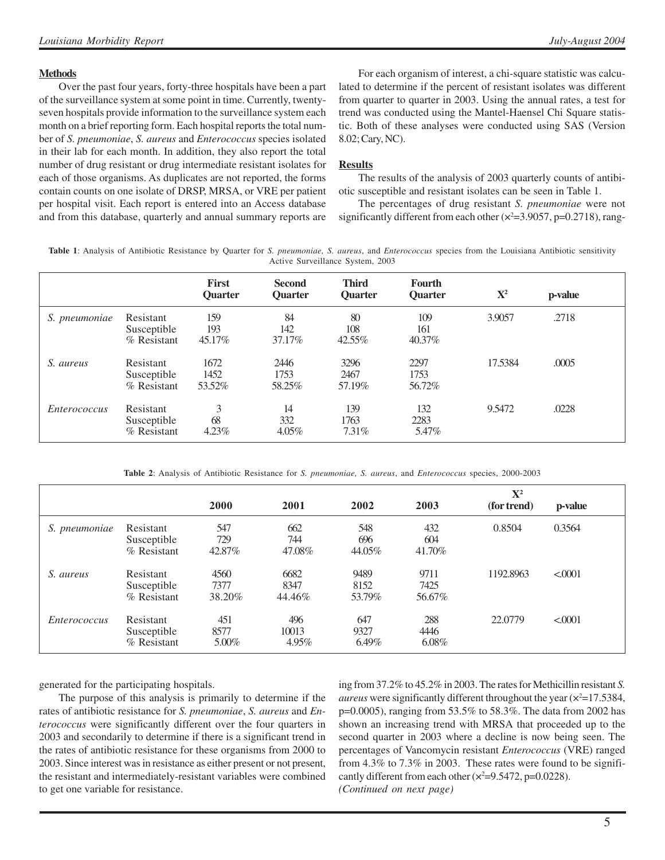#### **Methods**

Over the past four years, forty-three hospitals have been a part of the surveillance system at some point in time. Currently, twentyseven hospitals provide information to the surveillance system each month on a brief reporting form. Each hospital reports the total number of *S. pneumoniae*, *S. aureus* and *Enterococcus* species isolated in their lab for each month. In addition, they also report the total number of drug resistant or drug intermediate resistant isolates for each of those organisms. As duplicates are not reported, the forms contain counts on one isolate of DRSP, MRSA, or VRE per patient per hospital visit. Each report is entered into an Access database and from this database, quarterly and annual summary reports are

For each organism of interest, a chi-square statistic was calculated to determine if the percent of resistant isolates was different from quarter to quarter in 2003. Using the annual rates, a test for trend was conducted using the Mantel-Haensel Chi Square statistic. Both of these analyses were conducted using SAS (Version 8.02; Cary, NC).

#### **Results**

The results of the analysis of 2003 quarterly counts of antibiotic susceptible and resistant isolates can be seen in Table 1.

The percentages of drug resistant *S. pneumoniae* were not significantly different from each other  $(x^2=3.9057, p=0.2718)$ , rang-

**Table 1**: Analysis of Antibiotic Resistance by Quarter for *S. pneumoniae, S. aureus*, and *Enterococcus* species from the Louisiana Antibiotic sensitivity Active Surveillance System, 2003

|                     |                                           | <b>First</b><br><b>Ouarter</b> | <b>Second</b><br><b>Ouarter</b> | <b>Third</b><br><b>Ouarter</b> | <b>Fourth</b><br><b>Ouarter</b> | ${\bf X}^2$ | p-value |  |
|---------------------|-------------------------------------------|--------------------------------|---------------------------------|--------------------------------|---------------------------------|-------------|---------|--|
| S. pneumoniae       | Resistant<br>Susceptible<br>$%$ Resistant | 159<br>193<br>45.17%           | 84<br>142<br>37.17%             | 80<br>108<br>42.55%            | 109<br>161<br>40.37%            | 3.9057      | .2718   |  |
| S. aureus           | Resistant<br>Susceptible<br>% Resistant   | 1672<br>1452<br>53.52%         | 2446<br>1753<br>58.25%          | 3296<br>2467<br>57.19%         | 2297<br>1753<br>56.72%          | 17.5384     | .0005   |  |
| <i>Enterococcus</i> | Resistant<br>Susceptible<br>% Resistant   | 3<br>68<br>$4.23\%$            | 14<br>332<br>$4.05\%$           | 139<br>1763<br>7.31%           | 132<br>2283<br>5.47%            | 9.5472      | .0228   |  |

**Table 2**: Analysis of Antibiotic Resistance for *S. pneumoniae, S. aureus*, and *Enterococcus* species, 2000-2003

|                     |                                           |                        |                        |                        |                        | $\mathbf{X}^2$ |          |
|---------------------|-------------------------------------------|------------------------|------------------------|------------------------|------------------------|----------------|----------|
|                     |                                           | 2000                   | 2001                   | 2002                   | 2003                   | (for trend)    | p-value  |
| S. pneumoniae       | Resistant<br>Susceptible<br>$%$ Resistant | 547<br>729<br>42.87%   | 662<br>744<br>47.08%   | 548<br>696<br>44.05%   | 432<br>604<br>41.70%   | 0.8504         | 0.3564   |
| S. aureus           | Resistant<br>Susceptible<br>% Resistant   | 4560<br>7377<br>38.20% | 6682<br>8347<br>44.46% | 9489<br>8152<br>53.79% | 9711<br>7425<br>56.67% | 1192.8963      | < 0001   |
| <i>Enterococcus</i> | Resistant<br>Susceptible<br>% Resistant   | 451<br>8577<br>5.00%   | 496<br>10013<br>4.95%  | 647<br>9327<br>6.49%   | 288<br>4446<br>6.08%   | 22,0779        | < 0.0001 |

generated for the participating hospitals.

The purpose of this analysis is primarily to determine if the rates of antibiotic resistance for *S. pneumoniae*, *S. aureus* and *Enterococcus* were significantly different over the four quarters in 2003 and secondarily to determine if there is a significant trend in the rates of antibiotic resistance for these organisms from 2000 to 2003. Since interest was in resistance as either present or not present, the resistant and intermediately-resistant variables were combined to get one variable for resistance.

ing from 37.2% to 45.2% in 2003. The rates for Methicillin resistant *S. aureus* were significantly different throughout the year  $(x^2=17.5384,$ p=0.0005), ranging from 53.5% to 58.3%. The data from 2002 has shown an increasing trend with MRSA that proceeded up to the second quarter in 2003 where a decline is now being seen. The percentages of Vancomycin resistant *Enterococcus* (VRE) ranged from 4.3% to 7.3% in 2003. These rates were found to be significantly different from each other  $(x^2=9.5472, p=0.0228)$ .

*(Continued on next page)*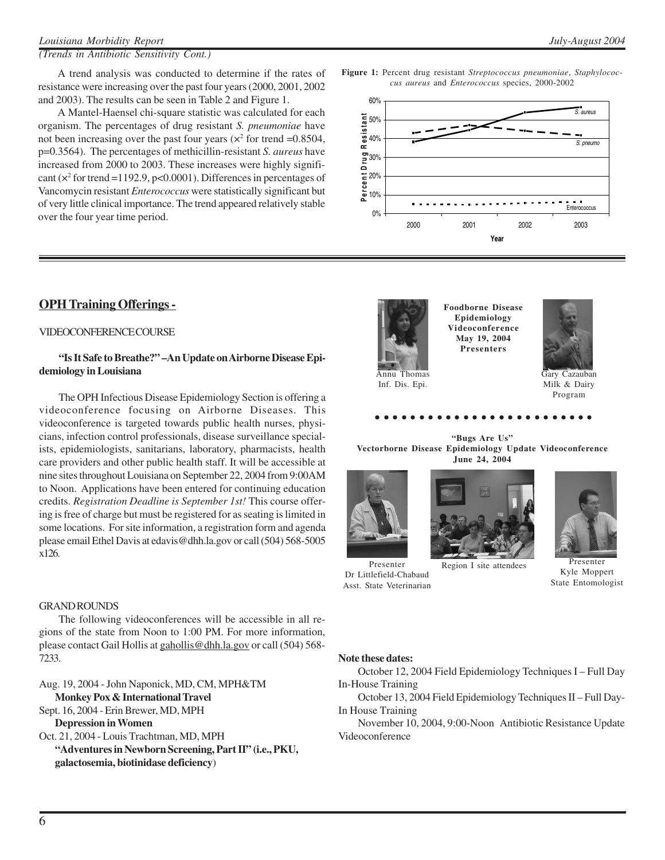A Mantel-Haensel chi-square statistic was calculated for each organism. The percentages of drug resistant *S. pneumoniae* have not been increasing over the past four years ( $\times^2$  for trend =0.8504, p=0.3564). The percentages of methicillin-resistant *S. aureus* have increased from 2000 to 2003. These increases were highly significant ( $\times^2$  for trend =1192.9, p<0.0001). Differences in percentages of Vancomycin resistant *Enterococcus* were statistically significant but of very little clinical importance. The trend appeared relatively stable over the four year time period.

### **OPH Training Offerings -**

#### VIDEOCONFERENCE COURSE

#### **"Is It Safe to Breathe?" –An Update on Airborne Disease Epidemiology in Louisiana**

The OPH Infectious Disease Epidemiology Section is offering a videoconference focusing on Airborne Diseases. This videoconference is targeted towards public health nurses, physicians, infection control professionals, disease surveillance specialists, epidemiologists, sanitarians, laboratory, pharmacists, health care providers and other public health staff. It will be accessible at nine sites throughout Louisiana on September 22, 2004 from 9:00AM to Noon. Applications have been entered for continuing education credits. *Registration Deadline is September 1st!* This course offering is free of charge but must be registered for as seating is limited in some locations. For site information, a registration form and agenda please email Ethel Davis at edavis@dhh.la.gov or call (504) 568-5005 x126.

#### GRAND ROUNDS

The following videoconferences will be accessible in all regions of the state from Noon to 1:00 PM. For more information, please contact Gail Hollis at gahollis@dhh.la.gov or call (504) 568- 7233.

Aug. 19, 2004 - John Naponick, MD, CM, MPH&TM **Monkey Pox & International Travel**

Sept. 16, 2004 - Erin Brewer, MD, MPH **Depression in Women**

Oct. 21, 2004 - Louis Trachtman, MD, MPH **"Adventures in Newborn Screening, Part II" (i.e., PKU, galactosemia, biotinidase deficiency**)

#### **Figure 1:** Percent drug resistant *Streptococcus pneumoniae*, *Staphylococcus aureus* and *Enterococcus* species, 2000-2002





Inf. Dis. Epi.

**Foodborne Disease Epidemiology Videoconference May 19, 2004 Presenters**



Gary Cazauban Milk & Dairy Program

aaaaaaaaaaaaaaaaaaaa aaaaa

**"Bugs Are Us" Vectorborne Disease Epidemiology Update Videoconference June 24, 2004**







Presenter Kyle Moppert State Entomologist

## **Note these dates:**

Dr Littlefield-Chabaud Asst. State Veterinarian

October 12, 2004 Field Epidemiology Techniques I – Full Day In-House Training

October 13, 2004 Field Epidemiology Techniques II – Full Day-In House Training

November 10, 2004, 9:00-Noon Antibiotic Resistance Update Videoconference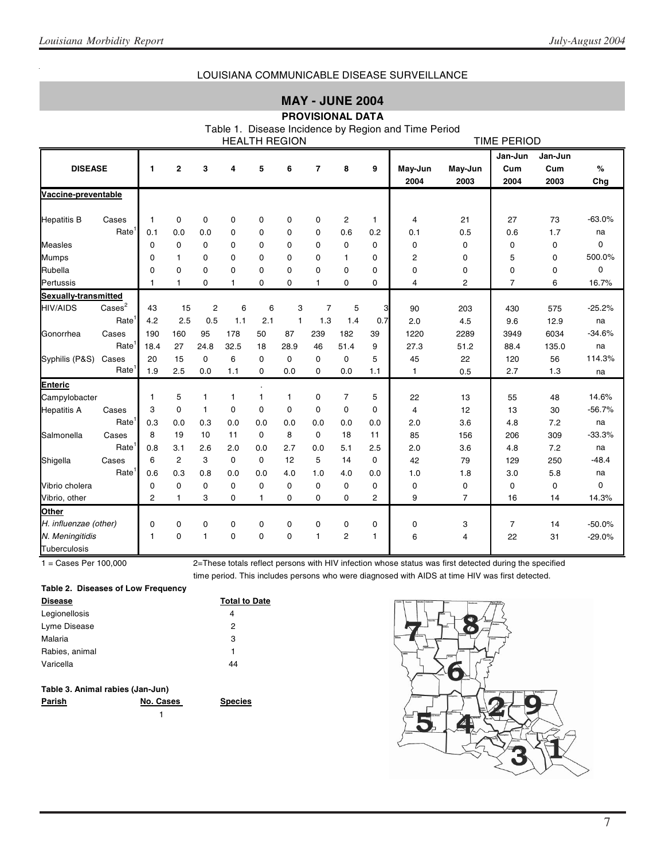### LOUISIANA COMMUNICABLE DISEASE SURVEILLANCE

### **MAY - JUNE 2004**

### **PROVISIONAL DATA**

Table 1. Disease Incidence by Region and Time Period

| <b>HEALTH REGION</b>  |                          |      |                         |                |              |              |              |              | TIME PERIOD    |              |              |                |                |         |             |
|-----------------------|--------------------------|------|-------------------------|----------------|--------------|--------------|--------------|--------------|----------------|--------------|--------------|----------------|----------------|---------|-------------|
|                       |                          |      |                         |                |              |              |              |              |                |              |              |                | Jan-Jun        | Jan-Jun |             |
| <b>DISEASE</b>        |                          | 1    | $\overline{\mathbf{2}}$ | 3              | 4            | 5            | 6            | 7            | 8              | 9            | May-Jun      | May-Jun        | Cum            | Cum     | %           |
|                       |                          |      |                         |                |              |              |              |              |                |              | 2004         | 2003           | 2004           | 2003    | Chg         |
| Vaccine-preventable   |                          |      |                         |                |              |              |              |              |                |              |              |                |                |         |             |
| <b>Hepatitis B</b>    | Cases                    | 1    | 0                       | 0              | 0            | 0            | 0            | 0            | $\overline{c}$ | $\mathbf{1}$ | 4            | 21             | 27             | 73      | $-63.0%$    |
|                       | Rate <sup>1</sup>        | 0.1  | 0.0                     | 0.0            | 0            | 0            | $\mathbf 0$  | 0            | 0.6            | 0.2          | 0.1          | 0.5            | 0.6            | 1.7     | na          |
| <b>Measles</b>        |                          | 0    | $\mathbf 0$             | 0              | $\mathbf 0$  | 0            | $\mathbf 0$  | 0            | 0              | $\Omega$     | $\mathbf 0$  | 0              | $\mathbf 0$    | 0       | $\mathbf 0$ |
| <b>Mumps</b>          |                          | 0    | $\mathbf{1}$            | $\Omega$       | $\mathbf 0$  | 0            | $\mathbf 0$  | 0            | 1              | $\Omega$     | 2            | 0              | 5              | 0       | 500.0%      |
| Rubella               |                          | 0    | $\Omega$                | 0              | $\mathbf 0$  | 0            | 0            | 0            | 0              | 0            | 0            | 0              | 0              | 0       | $\Omega$    |
| Pertussis             |                          | 1    | 1                       | 0              | $\mathbf{1}$ | 0            | 0            | $\mathbf{1}$ | 0              | 0            | 4            | 2              | $\overline{7}$ | 6       | 16.7%       |
| Sexually-transmitted  |                          |      |                         |                |              |              |              |              |                |              |              |                |                |         |             |
| <b>HIV/AIDS</b>       | $\text{Case} \text{s}^2$ | 43   | 15                      | $\overline{c}$ | 6            | 6            | 3            | 7            | 5              | 3            | 90           | 203            | 430            | 575     | $-25.2%$    |
|                       | Rate                     | 4.2  | 2.5                     | 0.5            | 1.1          | 2.1          | $\mathbf{1}$ | 1.3          | 1.4            | 0.7          | 2.0          | 4.5            | 9.6            | 12.9    | na          |
| Gonorrhea             | Cases                    | 190  | 160                     | 95             | 178          | 50           | 87           | 239          | 182            | 39           | 1220         | 2289           | 3949           | 6034    | $-34.6%$    |
|                       | Rate <sup>1</sup>        | 18.4 | 27                      | 24.8           | 32.5         | 18           | 28.9         | 46           | 51.4           | 9            | 27.3         | 51.2           | 88.4           | 135.0   | na          |
| Syphilis (P&S)        | Cases                    | 20   | 15                      | $\Omega$       | 6            | 0            | $\mathbf 0$  | 0            | 0              | 5            | 45           | 22             | 120            | 56      | 114.3%      |
|                       | Rate <sup>1</sup>        | 1.9  | 2.5                     | 0.0            | 1.1          | 0            | 0.0          | 0            | 0.0            | 1.1          | $\mathbf{1}$ | 0.5            | 2.7            | 1.3     | na          |
| <b>Enteric</b>        |                          |      |                         |                |              |              |              |              |                |              |              |                |                |         |             |
| Campylobacter         |                          | 1    | 5                       | $\mathbf{1}$   | $\mathbf{1}$ | 1            | $\mathbf{1}$ | 0            | $\overline{7}$ | 5            | 22           | 13             | 55             | 48      | 14.6%       |
| <b>Hepatitis A</b>    | Cases                    | 3    | $\mathbf 0$             | $\mathbf{1}$   | $\mathbf 0$  | $\mathbf 0$  | $\mathbf 0$  | 0            | $\Omega$       | $\Omega$     | 4            | 12             | 13             | 30      | $-56.7%$    |
|                       | Rate                     | 0.3  | 0.0                     | 0.3            | 0.0          | 0.0          | 0.0          | 0.0          | 0.0            | 0.0          | 2.0          | 3.6            | 4.8            | 7.2     | na          |
| Salmonella            | Cases                    | 8    | 19                      | 10             | 11           | 0            | 8            | $\Omega$     | 18             | 11           | 85           | 156            | 206            | 309     | $-33.3%$    |
|                       | Rate                     | 0.8  | 3.1                     | 2.6            | 2.0          | 0.0          | 2.7          | 0.0          | 5.1            | 2.5          | 2.0          | 3.6            | 4.8            | 7.2     | na          |
| Shigella              | Cases                    | 6    | $\overline{2}$          | 3              | $\mathbf 0$  | 0            | 12           | 5            | 14             | $\mathbf 0$  | 42           | 79             | 129            | 250     | $-48.4$     |
|                       | Rate <sup>1</sup>        | 0.6  | 0.3                     | 0.8            | 0.0          | 0.0          | 4.0          | 1.0          | 4.0            | 0.0          | 1.0          | 1.8            | 3.0            | 5.8     | na          |
| Vibrio cholera        |                          | 0    | $\mathbf 0$             | 0              | 0            | 0            | 0            | 0            | 0              | 0            | 0            | 0              | 0              | 0       | $\Omega$    |
| Vibrio, other         |                          | 2    | $\mathbf{1}$            | 3              | $\Omega$     | $\mathbf{1}$ | $\Omega$     | $\Omega$     | $\Omega$       | 2            | 9            | $\overline{7}$ | 16             | 14      | 14.3%       |
| Other                 |                          |      |                         |                |              |              |              |              |                |              |              |                |                |         |             |
| H. influenzae (other) |                          | 0    | 0                       | 0              | $\mathbf 0$  | 0            | 0            | 0            | 0              | 0            | 0            | 3              | $\overline{7}$ | 14      | $-50.0%$    |
| N. Meningitidis       |                          | 1    | $\mathbf 0$             | $\mathbf{1}$   | $\mathbf 0$  | 0            | 0            | $\mathbf{1}$ | $\overline{c}$ | 1            | 6            | 4              | 22             | 31      | $-29.0%$    |
| Tuberculosis          |                          |      |                         |                |              |              |              |              |                |              |              |                |                |         |             |

1 = Cases Per 100,000 2=These totals reflect persons with HIV infection whose status was first detected during the specified time period. This includes persons who were diagnosed with AIDS at time HIV was first detected.

#### **Table 2. Diseases of Low Frequency**

| <b>Disease</b> | <b>Total to Date</b> |
|----------------|----------------------|
| Legionellosis  | 4                    |
| Lyme Disease   | 2                    |
| Malaria        | 3                    |
| Rabies, animal | 1                    |
| Varicella      | 44                   |
|                |                      |

| Parish | No. Cases | <b>Species</b> |
|--------|-----------|----------------|
|        |           |                |

1